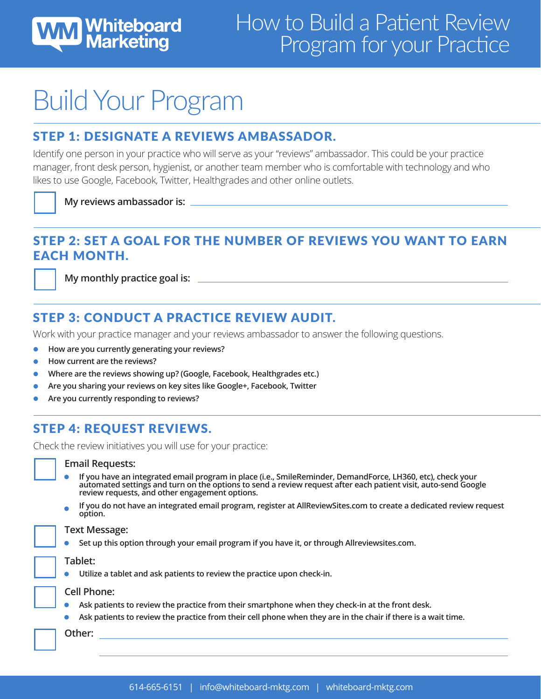

# Build Your Program

## STEP 1: DESIGNATE A REVIEWS AMBASSADOR.

Identify one person in your practice who will serve as your "reviews" ambassador. This could be your practice manager, front desk person, hygienist, or another team member who is comfortable with technology and who likes to use Google, Facebook, Twitter, Healthgrades and other online outlets.

**My reviews ambassador is:**

#### STEP 2: SET A GOAL FOR THE NUMBER OF REVIEWS YOU WANT TO EARN EACH MONTH.

**My monthly practice goal is:**

# STEP 3: CONDUCT A PRACTICE REVIEW AUDIT.

Work with your practice manager and your reviews ambassador to answer the following questions.

- **How are you currently generating your reviews?**
- **How current are the reviews?**
- **Where are the reviews showing up? (Google, Facebook, Healthgrades etc.)**
- **Are you sharing your reviews on key sites like Google+, Facebook, Twitter**
- **Are you currently responding to reviews?**

# STEP 4: REQUEST REVIEWS.

Check the review initiatives you will use for your practice:

#### **Email Requests:**

- **If you have an integrated email program in place (i.e., SmileReminder, DemandForce, LH360, etc), check your automated settings and turn on the options to send a review request after each patient visit, auto-send Google review requests, and other engagement options.**
- **If you do not have an integrated email program, register at AllReviewSites.com to create a dedicated review request option.**

#### **Text Message:**

**Set up this option through your email program if you have it, or through Allreviewsites.com.**

**Tablet:**

**Utilize a tablet and ask patients to review the practice upon check-in.**  $\bullet$ 

#### **Cell Phone:**

- $\bullet$ **Ask patients to review the practice from their smartphone when they check-in at the front desk.**
- **Ask patients to review the practice from their cell phone when they are in the chair if there is a wait time.**

**Other:**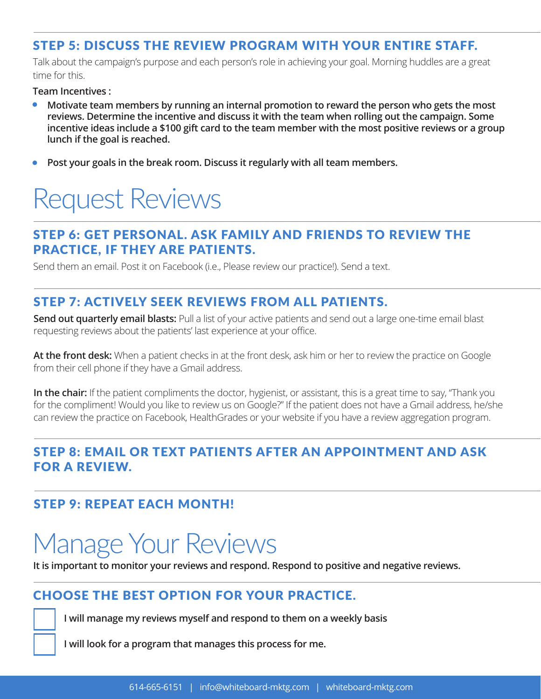## STEP 5: DISCUSS THE REVIEW PROGRAM WITH YOUR ENTIRE STAFF.

Talk about the campaign's purpose and each person's role in achieving your goal. Morning huddles are a great time for this.

**Team Incentives :**

- $\bullet$ **Motivate team members by running an internal promotion to reward the person who gets the most reviews. Determine the incentive and discuss it with the team when rolling out the campaign. Some incentive ideas include a \$100 gift card to the team member with the most positive reviews or a group lunch if the goal is reached.**
- **Post your goals in the break room. Discuss it regularly with all team members.** $\bullet$

# Request Reviews

### STEP 6: GET PERSONAL. ASK FAMILY AND FRIENDS TO REVIEW THE PRACTICE, IF THEY ARE PATIENTS.

Send them an email. Post it on Facebook (i.e., Please review our practice!). Send a text.

### STEP 7: ACTIVELY SEEK REVIEWS FROM ALL PATIENTS.

**Send out quarterly email blasts:** Pull a list of your active patients and send out a large one-time email blast requesting reviews about the patients' last experience at your office.

**At the front desk:** When a patient checks in at the front desk, ask him or her to review the practice on Google from their cell phone if they have a Gmail address.

**In the chair:** If the patient compliments the doctor, hygienist, or assistant, this is a great time to say, "Thank you for the compliment! Would you like to review us on Google?" If the patient does not have a Gmail address, he/she can review the practice on Facebook, HealthGrades or your website if you have a review aggregation program.

### STEP 8: EMAIL OR TEXT PATIENTS AFTER AN APPOINTMENT AND ASK FOR A REVIEW.

### STEP 9: REPEAT EACH MONTH!

# Manage Your Reviews

**It is important to monitor your reviews and respond. Respond to positive and negative reviews.**

## CHOOSE THE BEST OPTION FOR YOUR PRACTICE.

**I will manage my reviews myself and respond to them on a weekly basis**

**I will look for a program that manages this process for me.**